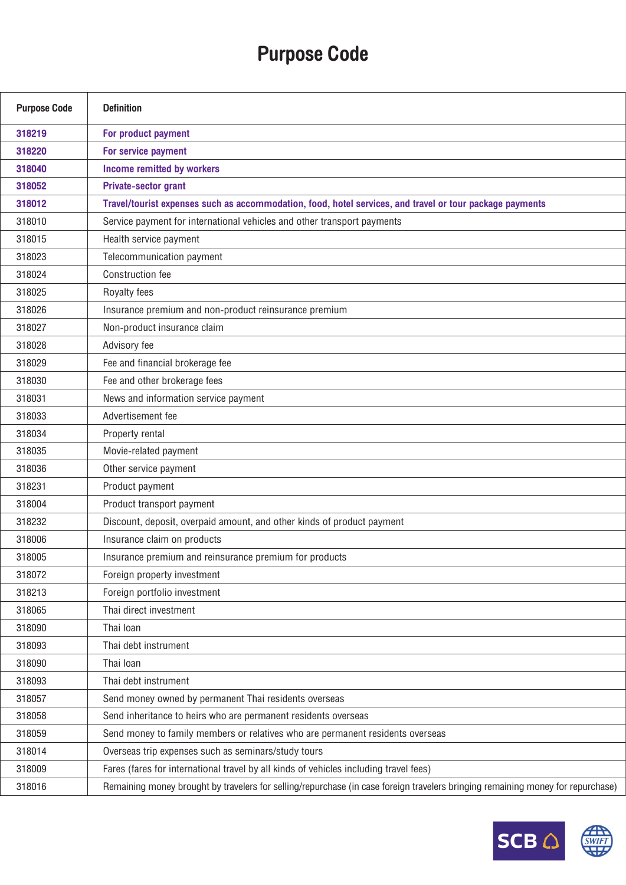## Purpose Code

| <b>Purpose Code</b> | <b>Definition</b>                                                                                                               |
|---------------------|---------------------------------------------------------------------------------------------------------------------------------|
| 318219              | For product payment                                                                                                             |
| 318220              | For service payment                                                                                                             |
| 318040              | Income remitted by workers                                                                                                      |
| 318052              | <b>Private-sector grant</b>                                                                                                     |
| 318012              | Travel/tourist expenses such as accommodation, food, hotel services, and travel or tour package payments                        |
| 318010              | Service payment for international vehicles and other transport payments                                                         |
| 318015              | Health service payment                                                                                                          |
| 318023              | Telecommunication payment                                                                                                       |
| 318024              | <b>Construction fee</b>                                                                                                         |
| 318025              | Royalty fees                                                                                                                    |
| 318026              | Insurance premium and non-product reinsurance premium                                                                           |
| 318027              | Non-product insurance claim                                                                                                     |
| 318028              | Advisory fee                                                                                                                    |
| 318029              | Fee and financial brokerage fee                                                                                                 |
| 318030              | Fee and other brokerage fees                                                                                                    |
| 318031              | News and information service payment                                                                                            |
| 318033              | Advertisement fee                                                                                                               |
| 318034              | Property rental                                                                                                                 |
| 318035              | Movie-related payment                                                                                                           |
| 318036              | Other service payment                                                                                                           |
| 318231              | Product payment                                                                                                                 |
| 318004              | Product transport payment                                                                                                       |
| 318232              | Discount, deposit, overpaid amount, and other kinds of product payment                                                          |
| 318006              | Insurance claim on products                                                                                                     |
| 318005              | Insurance premium and reinsurance premium for products                                                                          |
| 318072              | Foreign property investment                                                                                                     |
| 318213              | Foreign portfolio investment                                                                                                    |
| 318065              | Thai direct investment                                                                                                          |
| 318090              | Thai Ioan                                                                                                                       |
| 318093              | Thai debt instrument                                                                                                            |
| 318090              | Thai Ioan                                                                                                                       |
| 318093              | Thai debt instrument                                                                                                            |
| 318057              | Send money owned by permanent Thai residents overseas                                                                           |
| 318058              | Send inheritance to heirs who are permanent residents overseas                                                                  |
| 318059              | Send money to family members or relatives who are permanent residents overseas                                                  |
| 318014              | Overseas trip expenses such as seminars/study tours                                                                             |
| 318009              | Fares (fares for international travel by all kinds of vehicles including travel fees)                                           |
| 318016              | Remaining money brought by travelers for selling/repurchase (in case foreign travelers bringing remaining money for repurchase) |